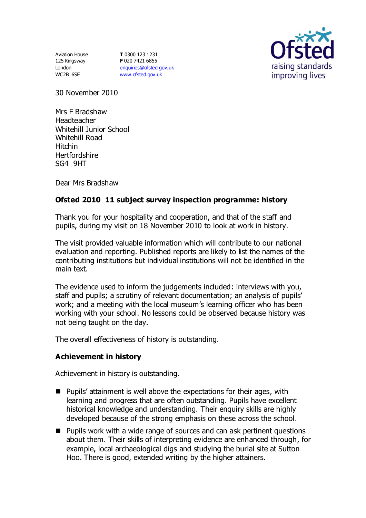Aviation House 125 Kingsway London WC2B 6SE

**T** 0300 123 1231 **F** 020 7421 6855 [enquiries@ofsted.gov.uk](mailto:enquiries@ofsted.gov.uk) [www.ofsted.gov.uk](http://www.ofsted.gov.uk/)



30 November 2010

Mrs F Bradshaw **Headteacher** Whitehill Junior School Whitehill Road Hitchin **Hertfordshire** SG4 9HT

Dear Mrs Bradshaw

## **Ofsted 2010–11 subject survey inspection programme: history**

Thank you for your hospitality and cooperation, and that of the staff and pupils, during my visit on 18 November 2010 to look at work in history.

The visit provided valuable information which will contribute to our national evaluation and reporting. Published reports are likely to list the names of the contributing institutions but individual institutions will not be identified in the main text.

The evidence used to inform the judgements included: interviews with you, staff and pupils; a scrutiny of relevant documentation; an analysis of pupils' work; and a meeting with the local museum's learning officer who has been working with your school. No lessons could be observed because history was not being taught on the day.

The overall effectiveness of history is outstanding.

## **Achievement in history**

Achievement in history is outstanding.

- $\blacksquare$  Pupils' attainment is well above the expectations for their ages, with learning and progress that are often outstanding. Pupils have excellent historical knowledge and understanding. Their enquiry skills are highly developed because of the strong emphasis on these across the school.
- Pupils work with a wide range of sources and can ask pertinent questions about them. Their skills of interpreting evidence are enhanced through, for example, local archaeological digs and studying the burial site at Sutton Hoo. There is good, extended writing by the higher attainers.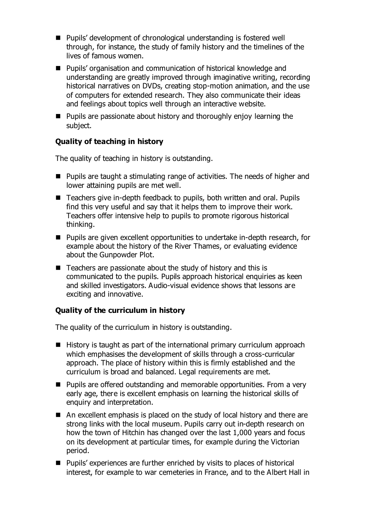- Pupils' development of chronological understanding is fostered well through, for instance, the study of family history and the timelines of the lives of famous women.
- Pupils' organisation and communication of historical knowledge and understanding are greatly improved through imaginative writing, recording historical narratives on DVDs, creating stop-motion animation, and the use of computers for extended research. They also communicate their ideas and feelings about topics well through an interactive website.
- **Pupils are passionate about history and thoroughly enjoy learning the** subject.

## **Quality of teaching in history**

The quality of teaching in history is outstanding.

- **Pupils are taught a stimulating range of activities. The needs of higher and** lower attaining pupils are met well.
- Teachers give in-depth feedback to pupils, both written and oral. Pupils find this very useful and say that it helps them to improve their work. Teachers offer intensive help to pupils to promote rigorous historical thinking.
- **Pupils are given excellent opportunities to undertake in-depth research, for** example about the history of the River Thames, or evaluating evidence about the Gunpowder Plot.
- Teachers are passionate about the study of history and this is communicated to the pupils. Pupils approach historical enquiries as keen and skilled investigators. Audio-visual evidence shows that lessons are exciting and innovative.

# **Quality of the curriculum in history**

The quality of the curriculum in history is outstanding.

- $\blacksquare$  History is taught as part of the international primary curriculum approach which emphasises the development of skills through a cross-curricular approach. The place of history within this is firmly established and the curriculum is broad and balanced. Legal requirements are met.
- Pupils are offered outstanding and memorable opportunities. From a very early age, there is excellent emphasis on learning the historical skills of enquiry and interpretation.
- An excellent emphasis is placed on the study of local history and there are strong links with the local museum. Pupils carry out in-depth research on how the town of Hitchin has changed over the last 1,000 years and focus on its development at particular times, for example during the Victorian period.
- Pupils' experiences are further enriched by visits to places of historical interest, for example to war cemeteries in France, and to the Albert Hall in